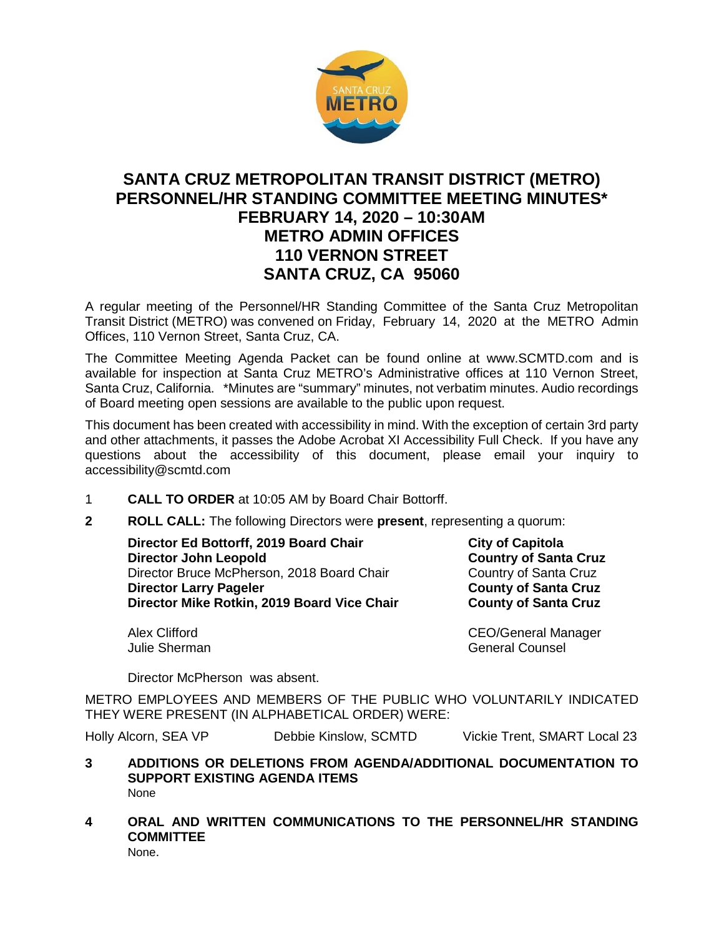

# **SANTA CRUZ METROPOLITAN TRANSIT DISTRICT (METRO) PERSONNEL/HR STANDING COMMITTEE MEETING MINUTES\* FEBRUARY 14, 2020 – 10:30AM METRO ADMIN OFFICES 110 VERNON STREET SANTA CRUZ, CA 95060**

A regular meeting of the Personnel/HR Standing Committee of the Santa Cruz Metropolitan Transit District (METRO) was convened on Friday, February 14, 2020 at the METRO Admin Offices, 110 Vernon Street, Santa Cruz, CA.

The Committee Meeting Agenda Packet can be found online at www.SCMTD.com and is available for inspection at Santa Cruz METRO's Administrative offices at 110 Vernon Street, Santa Cruz, California. \*Minutes are "summary" minutes, not verbatim minutes. Audio recordings of Board meeting open sessions are available to the public upon request.

This document has been created with accessibility in mind. With the exception of certain 3rd party and other attachments, it passes the Adobe Acrobat XI Accessibility Full Check. If you have any questions about the accessibility of this document, please email your inquiry to accessibility@scmtd.com

- 1 **CALL TO ORDER** at 10:05 AM by Board Chair Bottorff.
- **2 ROLL CALL:** The following Directors were **present**, representing a quorum:

**Director Ed Bottorff, 2019 Board Chair City of Capitola City of Capitola Director John Leopold Country of Santa Cruz**<br>
Director Bruce McPherson, 2018 Board Chair Country of Santa Cruz Director Bruce McPherson, 2018 Board Chair Country of Santa Cruz<br> **Director Larry Pageler** County of Santa Cruz **Director Larry Pageler County of Santa Cruz County of Santa Cruz County of Santa Cruz Director Mike Rotkin, 2019 Board Vice Chair County of Santa Cruz Director Mike Rotkin, 2019 Board Vice Chair** 

Alex Clifford CEO/General Manager Julie Sherman General Counsel

Director McPherson was absent.

METRO EMPLOYEES AND MEMBERS OF THE PUBLIC WHO VOLUNTARILY INDICATED THEY WERE PRESENT (IN ALPHABETICAL ORDER) WERE:

Holly Alcorn, SEA VP Debbie Kinslow, SCMTD Vickie Trent, SMART Local 23

- **3 ADDITIONS OR DELETIONS FROM AGENDA/ADDITIONAL DOCUMENTATION TO SUPPORT EXISTING AGENDA ITEMS**  None
- **4 ORAL AND WRITTEN COMMUNICATIONS TO THE PERSONNEL/HR STANDING COMMITTEE** None.